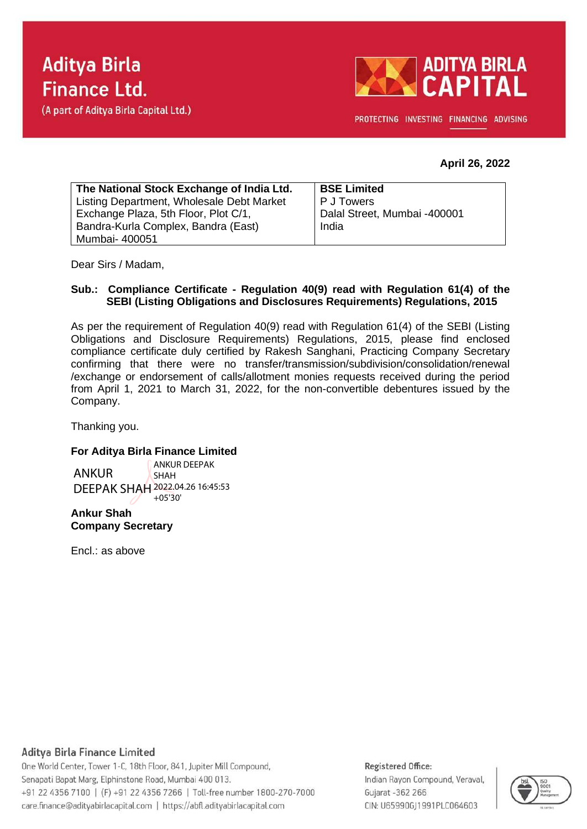



PROTECTING INVESTING FINANCING ADVISING

### **April 26, 2022**

| The National Stock Exchange of India Ltd. | <b>BSE Limited</b>           |
|-------------------------------------------|------------------------------|
| Listing Department, Wholesale Debt Market | I P J Towers                 |
| Exchange Plaza, 5th Floor, Plot C/1,      | Dalal Street, Mumbai -400001 |
| Bandra-Kurla Complex, Bandra (East)       | India                        |
| Mumbai- 400051                            |                              |

Dear Sirs / Madam,

#### **Sub.: Compliance Certificate - Regulation 40(9) read with Regulation 61(4) of the SEBI (Listing Obligations and Disclosures Requirements) Regulations, 2015**

As per the requirement of Regulation 40(9) read with Regulation 61(4) of the SEBI (Listing Obligations and Disclosure Requirements) Regulations, 2015, please find enclosed compliance certificate duly certified by Rakesh Sanghani, Practicing Company Secretary confirming that there were no transfer/transmission/subdivision/consolidation/renewal /exchange or endorsement of calls/allotment monies requests received during the period from April 1, 2021 to March 31, 2022, for the non-convertible debentures issued by the Company.

Thanking you.

#### **For Aditya Birla Finance Limited**

ANKUR DEEPAK SHAH 2022.04.26 16:45:53 ANKUR DEEPAK SHAH +05'30'

**Ankur Shah Company Secretary**

Encl.: as above

## Aditya Birla Finance Limited

One World Center, Tower 1-C, 18th Floor, 841, Jupiter Mill Compound, Senapati Bapat Marg, Elphinstone Road, Mumbai 400 013. +91 22 4356 7100 | (F) +91 22 4356 7266 | Toll-free number 1800-270-7000 care.finance@adityabirlacapital.com | https://abfl.adityabirlacapital.com

#### Registered Office:

Indian Rayon Compound, Veraval, Gujarat - 362 266 CIN: U65990GJ1991PLC064603